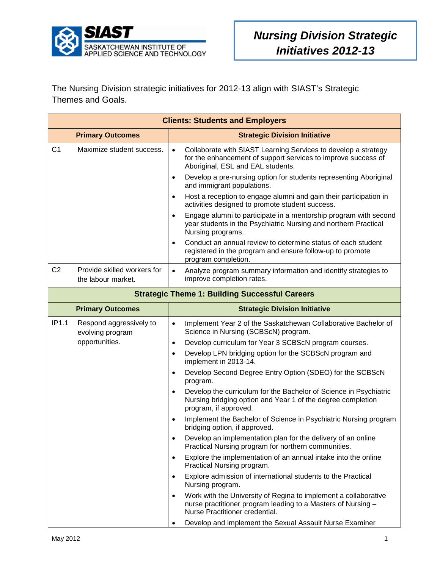

The Nursing Division strategic initiatives for 2012-13 align with SIAST's Strategic Themes and Goals.

| <b>Clients: Students and Employers</b>                |                                                   |                                                                                                                                                                                                                                                                                                                                                                                                                                                                                                                         |  |  |
|-------------------------------------------------------|---------------------------------------------------|-------------------------------------------------------------------------------------------------------------------------------------------------------------------------------------------------------------------------------------------------------------------------------------------------------------------------------------------------------------------------------------------------------------------------------------------------------------------------------------------------------------------------|--|--|
|                                                       | <b>Primary Outcomes</b>                           | <b>Strategic Division Initiative</b>                                                                                                                                                                                                                                                                                                                                                                                                                                                                                    |  |  |
| C <sub>1</sub>                                        | Maximize student success.                         | Collaborate with SIAST Learning Services to develop a strategy<br>$\bullet$<br>for the enhancement of support services to improve success of<br>Aboriginal, ESL and EAL students.<br>Develop a pre-nursing option for students representing Aboriginal<br>$\bullet$<br>and immigrant populations.<br>Host a reception to engage alumni and gain their participation in<br>$\bullet$<br>activities designed to promote student success.<br>Engage alumni to participate in a mentorship program with second<br>$\bullet$ |  |  |
|                                                       |                                                   | year students in the Psychiatric Nursing and northern Practical<br>Nursing programs.<br>Conduct an annual review to determine status of each student<br>$\bullet$<br>registered in the program and ensure follow-up to promote<br>program completion.                                                                                                                                                                                                                                                                   |  |  |
| C <sub>2</sub>                                        | Provide skilled workers for<br>the labour market. | Analyze program summary information and identify strategies to<br>$\bullet$<br>improve completion rates.                                                                                                                                                                                                                                                                                                                                                                                                                |  |  |
| <b>Strategic Theme 1: Building Successful Careers</b> |                                                   |                                                                                                                                                                                                                                                                                                                                                                                                                                                                                                                         |  |  |
|                                                       | <b>Primary Outcomes</b>                           | <b>Strategic Division Initiative</b>                                                                                                                                                                                                                                                                                                                                                                                                                                                                                    |  |  |
| IP1.1                                                 | Respond aggressively to<br>evolving program       | Implement Year 2 of the Saskatchewan Collaborative Bachelor of<br>$\bullet$<br>Science in Nursing (SCBScN) program.                                                                                                                                                                                                                                                                                                                                                                                                     |  |  |
|                                                       | opportunities.                                    | Develop curriculum for Year 3 SCBScN program courses.<br>$\bullet$<br>Develop LPN bridging option for the SCBScN program and<br>$\bullet$<br>implement in 2013-14.                                                                                                                                                                                                                                                                                                                                                      |  |  |
|                                                       |                                                   | Develop Second Degree Entry Option (SDEO) for the SCBScN<br>$\bullet$<br>program.                                                                                                                                                                                                                                                                                                                                                                                                                                       |  |  |
|                                                       |                                                   | Develop the curriculum for the Bachelor of Science in Psychiatric<br>$\bullet$<br>Nursing bridging option and Year 1 of the degree completion<br>program, if approved.                                                                                                                                                                                                                                                                                                                                                  |  |  |
|                                                       |                                                   | Implement the Bachelor of Science in Psychiatric Nursing program<br>$\bullet$<br>bridging option, if approved.                                                                                                                                                                                                                                                                                                                                                                                                          |  |  |
|                                                       |                                                   | Develop an implementation plan for the delivery of an online<br>$\bullet$<br>Practical Nursing program for northern communities.                                                                                                                                                                                                                                                                                                                                                                                        |  |  |
|                                                       |                                                   | Explore the implementation of an annual intake into the online<br>$\bullet$<br>Practical Nursing program.                                                                                                                                                                                                                                                                                                                                                                                                               |  |  |
|                                                       |                                                   | Explore admission of international students to the Practical<br>$\bullet$<br>Nursing program.                                                                                                                                                                                                                                                                                                                                                                                                                           |  |  |
|                                                       |                                                   | Work with the University of Regina to implement a collaborative<br>$\bullet$<br>nurse practitioner program leading to a Masters of Nursing -<br>Nurse Practitioner credential.                                                                                                                                                                                                                                                                                                                                          |  |  |
|                                                       |                                                   | Develop and implement the Sexual Assault Nurse Examiner<br>$\bullet$                                                                                                                                                                                                                                                                                                                                                                                                                                                    |  |  |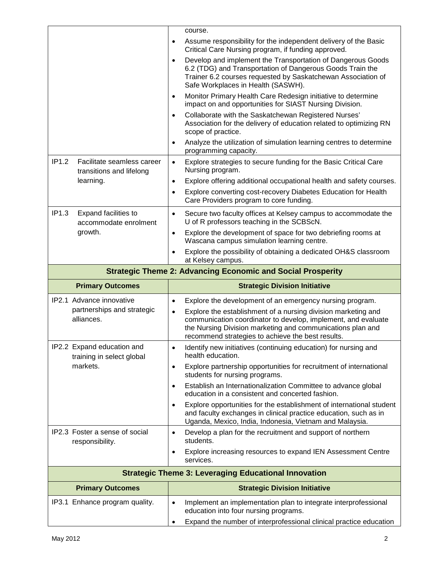|                                                                    | course.                                                                                                                                                                                                                                                        |  |  |  |  |
|--------------------------------------------------------------------|----------------------------------------------------------------------------------------------------------------------------------------------------------------------------------------------------------------------------------------------------------------|--|--|--|--|
|                                                                    | Assume responsibility for the independent delivery of the Basic<br>$\bullet$<br>Critical Care Nursing program, if funding approved.                                                                                                                            |  |  |  |  |
|                                                                    | Develop and implement the Transportation of Dangerous Goods<br>$\bullet$<br>6.2 (TDG) and Transportation of Dangerous Goods Train the<br>Trainer 6.2 courses requested by Saskatchewan Association of<br>Safe Workplaces in Health (SASWH).                    |  |  |  |  |
|                                                                    | Monitor Primary Health Care Redesign initiative to determine<br>$\bullet$<br>impact on and opportunities for SIAST Nursing Division.                                                                                                                           |  |  |  |  |
|                                                                    | Collaborate with the Saskatchewan Registered Nurses'<br>$\bullet$<br>Association for the delivery of education related to optimizing RN<br>scope of practice.                                                                                                  |  |  |  |  |
|                                                                    | Analyze the utilization of simulation learning centres to determine<br>$\bullet$<br>programming capacity.                                                                                                                                                      |  |  |  |  |
| IP1.2<br>Facilitate seamless career<br>transitions and lifelong    | Explore strategies to secure funding for the Basic Critical Care<br>$\bullet$<br>Nursing program.                                                                                                                                                              |  |  |  |  |
| learning.                                                          | Explore offering additional occupational health and safety courses.<br>$\bullet$                                                                                                                                                                               |  |  |  |  |
|                                                                    | Explore converting cost-recovery Diabetes Education for Health<br>$\bullet$<br>Care Providers program to core funding.                                                                                                                                         |  |  |  |  |
| IP1.3<br>Expand facilities to<br>accommodate enrolment             | Secure two faculty offices at Kelsey campus to accommodate the<br>$\bullet$<br>U of R professors teaching in the SCBScN.                                                                                                                                       |  |  |  |  |
| growth.                                                            | Explore the development of space for two debriefing rooms at<br>$\bullet$<br>Wascana campus simulation learning centre.                                                                                                                                        |  |  |  |  |
|                                                                    | Explore the possibility of obtaining a dedicated OH&S classroom<br>$\bullet$<br>at Kelsey campus.                                                                                                                                                              |  |  |  |  |
| <b>Strategic Theme 2: Advancing Economic and Social Prosperity</b> |                                                                                                                                                                                                                                                                |  |  |  |  |
|                                                                    |                                                                                                                                                                                                                                                                |  |  |  |  |
| <b>Primary Outcomes</b>                                            | <b>Strategic Division Initiative</b>                                                                                                                                                                                                                           |  |  |  |  |
| IP2.1 Advance innovative                                           | Explore the development of an emergency nursing program.<br>$\bullet$                                                                                                                                                                                          |  |  |  |  |
| partnerships and strategic<br>alliances.                           | Explore the establishment of a nursing division marketing and<br>$\bullet$<br>communication coordinator to develop, implement, and evaluate<br>the Nursing Division marketing and communications plan and<br>recommend strategies to achieve the best results. |  |  |  |  |
| IP2.2 Expand education and<br>training in select global            | Identify new initiatives (continuing education) for nursing and<br>health education.                                                                                                                                                                           |  |  |  |  |
| markets.                                                           | Explore partnership opportunities for recruitment of international<br>$\bullet$<br>students for nursing programs.                                                                                                                                              |  |  |  |  |
|                                                                    | Establish an Internationalization Committee to advance global<br>$\bullet$<br>education in a consistent and concerted fashion.                                                                                                                                 |  |  |  |  |
|                                                                    | Explore opportunities for the establishment of international student<br>$\bullet$<br>and faculty exchanges in clinical practice education, such as in<br>Uganda, Mexico, India, Indonesia, Vietnam and Malaysia.                                               |  |  |  |  |
| IP2.3 Foster a sense of social<br>responsibility.                  | Develop a plan for the recruitment and support of northern<br>$\bullet$<br>students.                                                                                                                                                                           |  |  |  |  |
|                                                                    | Explore increasing resources to expand IEN Assessment Centre<br>$\bullet$<br>services.                                                                                                                                                                         |  |  |  |  |
|                                                                    | <b>Strategic Theme 3: Leveraging Educational Innovation</b>                                                                                                                                                                                                    |  |  |  |  |
| <b>Primary Outcomes</b>                                            | <b>Strategic Division Initiative</b>                                                                                                                                                                                                                           |  |  |  |  |
| IP3.1 Enhance program quality.                                     | Implement an implementation plan to integrate interprofessional<br>$\bullet$<br>education into four nursing programs.                                                                                                                                          |  |  |  |  |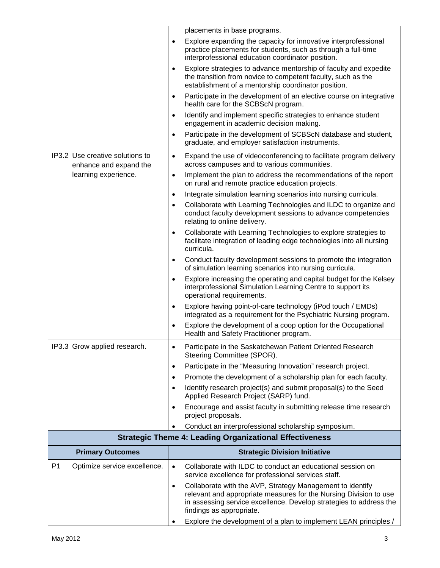|                                                                | placements in base programs.                                                                                                                                                                                                                  |  |  |  |
|----------------------------------------------------------------|-----------------------------------------------------------------------------------------------------------------------------------------------------------------------------------------------------------------------------------------------|--|--|--|
|                                                                | Explore expanding the capacity for innovative interprofessional<br>$\bullet$<br>practice placements for students, such as through a full-time<br>interprofessional education coordinator position.                                            |  |  |  |
|                                                                | Explore strategies to advance mentorship of faculty and expedite<br>$\bullet$<br>the transition from novice to competent faculty, such as the<br>establishment of a mentorship coordinator position.                                          |  |  |  |
|                                                                | Participate in the development of an elective course on integrative<br>$\bullet$<br>health care for the SCBScN program.                                                                                                                       |  |  |  |
|                                                                | Identify and implement specific strategies to enhance student<br>$\bullet$<br>engagement in academic decision making.                                                                                                                         |  |  |  |
|                                                                | Participate in the development of SCBScN database and student,<br>$\bullet$<br>graduate, and employer satisfaction instruments.                                                                                                               |  |  |  |
| IP3.2 Use creative solutions to<br>enhance and expand the      | Expand the use of videoconferencing to facilitate program delivery<br>$\bullet$<br>across campuses and to various communities.                                                                                                                |  |  |  |
| learning experience.                                           | Implement the plan to address the recommendations of the report<br>$\bullet$<br>on rural and remote practice education projects.                                                                                                              |  |  |  |
|                                                                | Integrate simulation learning scenarios into nursing curricula.<br>$\bullet$                                                                                                                                                                  |  |  |  |
|                                                                | Collaborate with Learning Technologies and ILDC to organize and<br>$\bullet$<br>conduct faculty development sessions to advance competencies<br>relating to online delivery.                                                                  |  |  |  |
|                                                                | Collaborate with Learning Technologies to explore strategies to<br>$\bullet$<br>facilitate integration of leading edge technologies into all nursing<br>curricula.                                                                            |  |  |  |
|                                                                | Conduct faculty development sessions to promote the integration<br>$\bullet$<br>of simulation learning scenarios into nursing curricula.                                                                                                      |  |  |  |
|                                                                | Explore increasing the operating and capital budget for the Kelsey<br>$\bullet$<br>interprofessional Simulation Learning Centre to support its<br>operational requirements.                                                                   |  |  |  |
|                                                                | Explore having point-of-care technology (iPod touch / EMDs)<br>$\bullet$<br>integrated as a requirement for the Psychiatric Nursing program.                                                                                                  |  |  |  |
|                                                                | Explore the development of a coop option for the Occupational<br>$\bullet$<br>Health and Safety Practitioner program.                                                                                                                         |  |  |  |
| IP3.3 Grow applied research.                                   | Participate in the Saskatchewan Patient Oriented Research<br>Steering Committee (SPOR).                                                                                                                                                       |  |  |  |
|                                                                | Participate in the "Measuring Innovation" research project.<br>$\bullet$                                                                                                                                                                      |  |  |  |
|                                                                | Promote the development of a scholarship plan for each faculty.<br>$\bullet$                                                                                                                                                                  |  |  |  |
|                                                                | Identify research project(s) and submit proposal(s) to the Seed<br>$\bullet$<br>Applied Research Project (SARP) fund.                                                                                                                         |  |  |  |
|                                                                | Encourage and assist faculty in submitting release time research<br>$\bullet$<br>project proposals.                                                                                                                                           |  |  |  |
|                                                                | Conduct an interprofessional scholarship symposium.<br>$\bullet$                                                                                                                                                                              |  |  |  |
| <b>Strategic Theme 4: Leading Organizational Effectiveness</b> |                                                                                                                                                                                                                                               |  |  |  |
| <b>Primary Outcomes</b>                                        | <b>Strategic Division Initiative</b>                                                                                                                                                                                                          |  |  |  |
| P <sub>1</sub><br>Optimize service excellence.                 | Collaborate with ILDC to conduct an educational session on<br>$\bullet$<br>service excellence for professional services staff.                                                                                                                |  |  |  |
|                                                                | Collaborate with the AVP, Strategy Management to identify<br>$\bullet$<br>relevant and appropriate measures for the Nursing Division to use<br>in assessing service excellence. Develop strategies to address the<br>findings as appropriate. |  |  |  |
|                                                                | Explore the development of a plan to implement LEAN principles /<br>٠                                                                                                                                                                         |  |  |  |